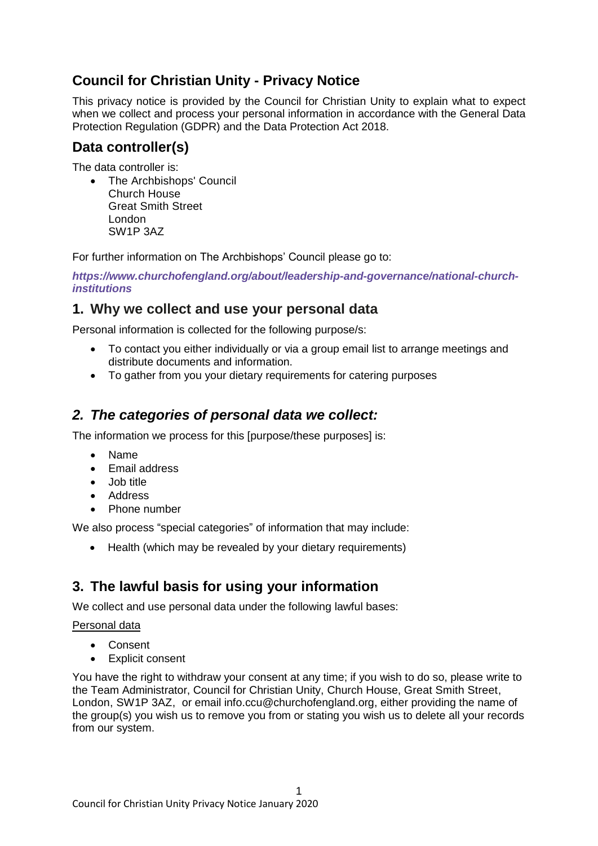# **Council for Christian Unity - Privacy Notice**

This privacy notice is provided by the Council for Christian Unity to explain what to expect when we collect and process your personal information in accordance with the General Data Protection Regulation (GDPR) and the Data Protection Act 2018.

### **Data controller(s)**

The data controller is:

• The Archbishops' Council Church House Great Smith Street London SW1P 3AZ

For further information on The Archbishops' Council please go to:

*[https://www.churchofengland.org/about/leadership-and-governance/national-church](https://www.churchofengland.org/about/leadership-and-governance/national-church-institutions)[institutions](https://www.churchofengland.org/about/leadership-and-governance/national-church-institutions)*

### **1. Why we collect and use your personal data**

Personal information is collected for the following purpose/s:

- To contact you either individually or via a group email list to arrange meetings and distribute documents and information.
- To gather from you your dietary requirements for catering purposes

## *2. The categories of personal data we collect:*

The information we process for this [purpose/these purposes] is:

- Name
- Email address
- Job title
- Address
- Phone number

We also process "special categories" of information that may include:

• Health (which may be revealed by your dietary requirements)

# **3. The lawful basis for using your information**

We collect and use personal data under the following lawful bases:

#### Personal data

- Consent
- Explicit consent

You have the right to withdraw your consent at any time; if you wish to do so, please write to the Team Administrator, Council for Christian Unity, Church House, Great Smith Street, London, SW1P 3AZ, or email [info.ccu@churchofengland.org,](mailto:info.ccu@churchofengland.org) either providing the name of the group(s) you wish us to remove you from or stating you wish us to delete all your records from our system.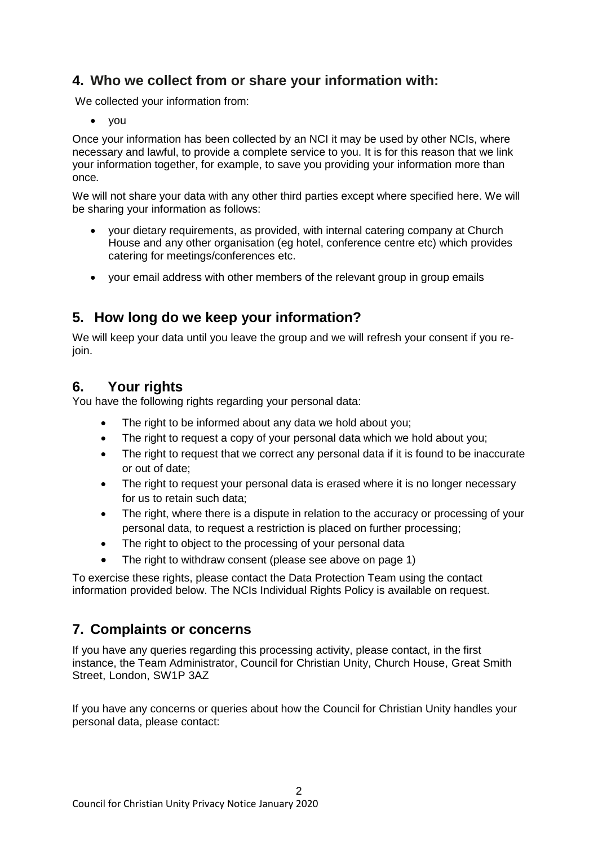# **4. Who we collect from or share your information with:**

We collected your information from:

• you

Once your information has been collected by an NCI it may be used by other NCIs, where necessary and lawful, to provide a complete service to you. It is for this reason that we link your information together, for example, to save you providing your information more than once*.*

We will not share your data with any other third parties except where specified here. We will be sharing your information as follows:

- your dietary requirements, as provided, with internal catering company at Church House and any other organisation (eg hotel, conference centre etc) which provides catering for meetings/conferences etc.
- vour email address with other members of the relevant group in group emails

## **5. How long do we keep your information?**

We will keep your data until you leave the group and we will refresh your consent if you reioin.

### **6. Your rights**

You have the following rights regarding your personal data:

- The right to be informed about any data we hold about you;
- The right to request a copy of your personal data which we hold about you;
- The right to request that we correct any personal data if it is found to be inaccurate or out of date;
- The right to request your personal data is erased where it is no longer necessary for us to retain such data;
- The right, where there is a dispute in relation to the accuracy or processing of your personal data, to request a restriction is placed on further processing;
- The right to object to the processing of your personal data
- The right to withdraw consent (please see above on page 1)

To exercise these rights, please contact the Data Protection Team using the contact information provided below. The NCIs Individual Rights Policy is available on request.

## **7. Complaints or concerns**

If you have any queries regarding this processing activity, please contact, in the first instance, the Team Administrator, Council for Christian Unity, Church House, Great Smith Street, London, SW1P 3AZ

If you have any concerns or queries about how the Council for Christian Unity handles your personal data, please contact: